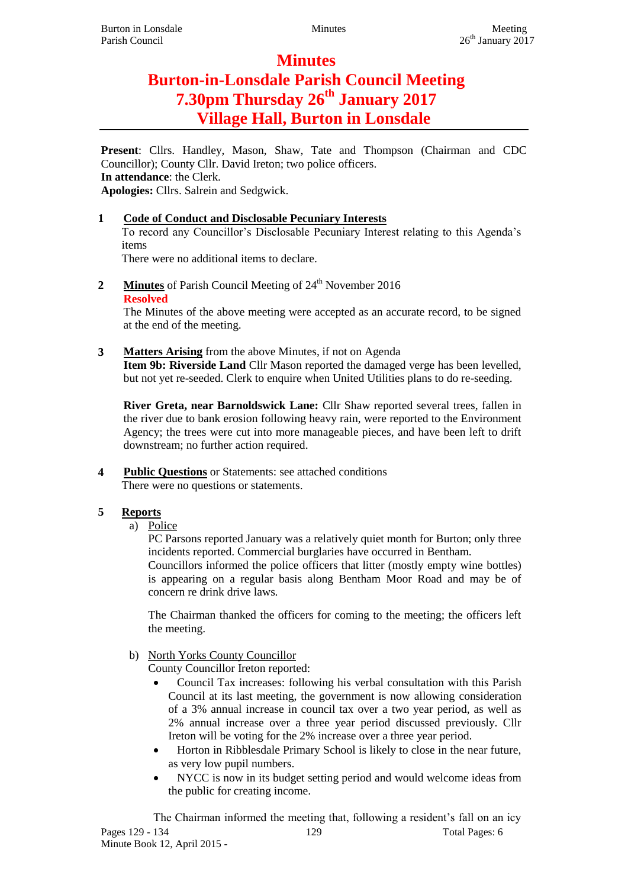# **Minutes Burton-in-Lonsdale Parish Council Meeting 7.30pm Thursday 26th January 2017 Village Hall, Burton in Lonsdale**

**Present**: Cllrs. Handley, Mason, Shaw, Tate and Thompson (Chairman and CDC Councillor); County Cllr. David Ireton; two police officers. **In attendance**: the Clerk. **Apologies:** Cllrs. Salrein and Sedgwick.

# **1 Code of Conduct and Disclosable Pecuniary Interests**

To record any Councillor's Disclosable Pecuniary Interest relating to this Agenda's items

There were no additional items to declare.

**2 Minutes** of Parish Council Meeting of 24<sup>th</sup> November 2016 **Resolved**

The Minutes of the above meeting were accepted as an accurate record, to be signed at the end of the meeting.

**3 Matters Arising** from the above Minutes, if not on Agenda

**Item 9b: Riverside Land** Cllr Mason reported the damaged verge has been levelled, but not yet re-seeded. Clerk to enquire when United Utilities plans to do re-seeding.

**River Greta, near Barnoldswick Lane:** Cllr Shaw reported several trees, fallen in the river due to bank erosion following heavy rain, were reported to the Environment Agency; the trees were cut into more manageable pieces, and have been left to drift downstream; no further action required.

**4 Public Questions** or Statements: see attached conditions There were no questions or statements.

# **5 Reports**

a) Police

PC Parsons reported January was a relatively quiet month for Burton; only three incidents reported. Commercial burglaries have occurred in Bentham. Councillors informed the police officers that litter (mostly empty wine bottles) is appearing on a regular basis along Bentham Moor Road and may be of concern re drink drive laws.

The Chairman thanked the officers for coming to the meeting; the officers left the meeting.

b) North Yorks County Councillor

County Councillor Ireton reported:

- Council Tax increases: following his verbal consultation with this Parish Council at its last meeting, the government is now allowing consideration of a 3% annual increase in council tax over a two year period, as well as 2% annual increase over a three year period discussed previously. Cllr Ireton will be voting for the 2% increase over a three year period.
- Horton in Ribblesdale Primary School is likely to close in the near future, as very low pupil numbers.
- NYCC is now in its budget setting period and would welcome ideas from the public for creating income.

Pages 129 - 134 129 129 Total Pages: 6 Minute Book 12, April 2015 - The Chairman informed the meeting that, following a resident's fall on an icy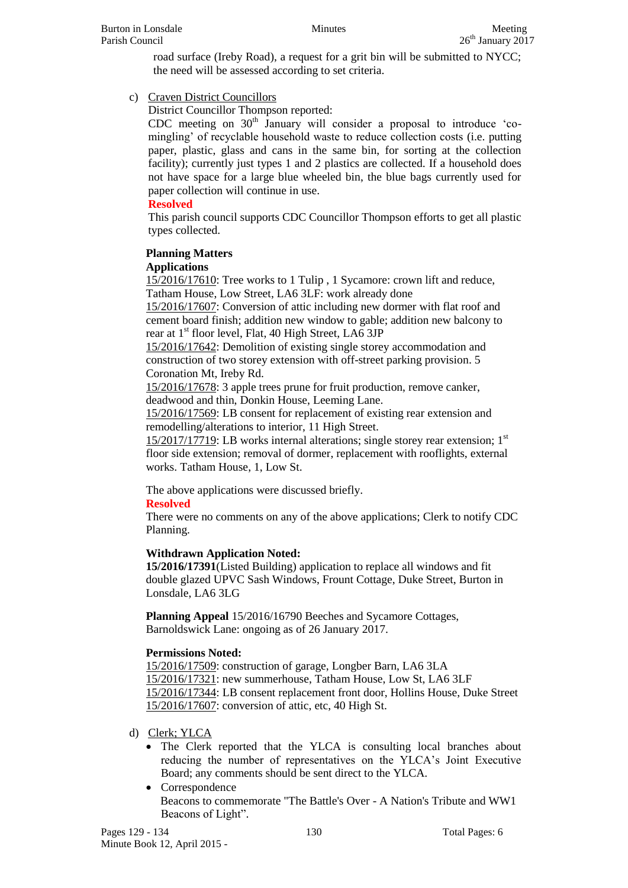road surface (Ireby Road), a request for a grit bin will be submitted to NYCC; the need will be assessed according to set criteria.

c) Craven District Councillors

District Councillor Thompson reported:

CDC meeting on  $30<sup>th</sup>$  January will consider a proposal to introduce 'comingling' of recyclable household waste to reduce collection costs (i.e. putting paper, plastic, glass and cans in the same bin, for sorting at the collection facility); currently just types 1 and 2 plastics are collected. If a household does not have space for a large blue wheeled bin, the blue bags currently used for paper collection will continue in use.

## **Resolved**

This parish council supports CDC Councillor Thompson efforts to get all plastic types collected.

## **Planning Matters**

## **Applications**

15/2016/17610: Tree works to 1 Tulip , 1 Sycamore: crown lift and reduce, Tatham House, Low Street, LA6 3LF: work already done

15/2016/17607: Conversion of attic including new dormer with flat roof and cement board finish; addition new window to gable; addition new balcony to rear at  $1<sup>st</sup>$  floor level, Flat, 40 High Street, LA6 3JP

15/2016/17642: Demolition of existing single storey accommodation and construction of two storey extension with off-street parking provision. 5 Coronation Mt, Ireby Rd.

15/2016/17678: 3 apple trees prune for fruit production, remove canker, deadwood and thin, Donkin House, Leeming Lane.

15/2016/17569: LB consent for replacement of existing rear extension and remodelling/alterations to interior, 11 High Street.

 $15/2017/17719$ : LB works internal alterations; single storey rear extension;  $1<sup>st</sup>$ floor side extension; removal of dormer, replacement with rooflights, external works. Tatham House, 1, Low St.

The above applications were discussed briefly.

# **Resolved**

There were no comments on any of the above applications; Clerk to notify CDC Planning.

# **Withdrawn Application Noted:**

**15/2016/17391**(Listed Building) application to replace all windows and fit double glazed UPVC Sash Windows, Frount Cottage, Duke Street, Burton in Lonsdale, LA6 3LG

**Planning Appeal** 15/2016/16790 Beeches and Sycamore Cottages, Barnoldswick Lane: ongoing as of 26 January 2017.

## **Permissions Noted:**

15/2016/17509: construction of garage, Longber Barn, LA6 3LA 15/2016/17321: new summerhouse, Tatham House, Low St, LA6 3LF 15/2016/17344: LB consent replacement front door, Hollins House, Duke Street 15/2016/17607: conversion of attic, etc, 40 High St.

# d) Clerk; YLCA

- The Clerk reported that the YLCA is consulting local branches about reducing the number of representatives on the YLCA's Joint Executive Board; any comments should be sent direct to the YLCA.
- Correspondence Beacons to commemorate "The Battle's Over - A Nation's Tribute and WW1 Beacons of Light".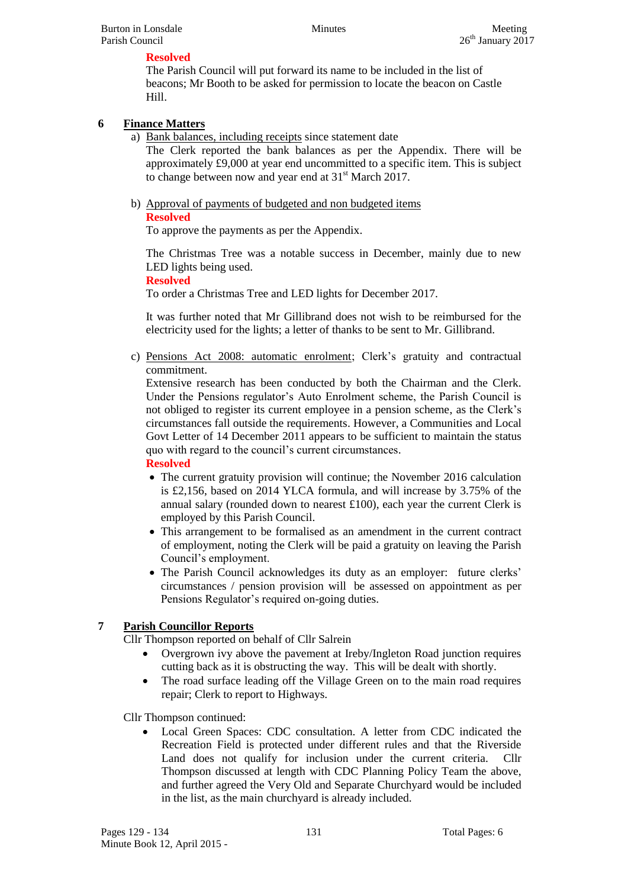## **Resolved**

The Parish Council will put forward its name to be included in the list of beacons; Mr Booth to be asked for permission to locate the beacon on Castle Hill.

## **6 Finance Matters**

a) Bank balances, including receipts since statement date

The Clerk reported the bank balances as per the Appendix. There will be approximately £9,000 at year end uncommitted to a specific item. This is subject to change between now and year end at  $31<sup>st</sup>$  March 2017.

b) Approval of payments of budgeted and non budgeted items **Resolved**

To approve the payments as per the Appendix.

The Christmas Tree was a notable success in December, mainly due to new LED lights being used.

#### **Resolved**

To order a Christmas Tree and LED lights for December 2017.

It was further noted that Mr Gillibrand does not wish to be reimbursed for the electricity used for the lights; a letter of thanks to be sent to Mr. Gillibrand.

c) Pensions Act 2008: automatic enrolment; Clerk's gratuity and contractual commitment.

Extensive research has been conducted by both the Chairman and the Clerk. Under the Pensions regulator's Auto Enrolment scheme, the Parish Council is not obliged to register its current employee in a pension scheme, as the Clerk's circumstances fall outside the requirements. However, a Communities and Local Govt Letter of 14 December 2011 appears to be sufficient to maintain the status quo with regard to the council's current circumstances.

#### **Resolved**

- The current gratuity provision will continue; the November 2016 calculation is £2,156, based on 2014 YLCA formula, and will increase by 3.75% of the annual salary (rounded down to nearest £100), each year the current Clerk is employed by this Parish Council.
- This arrangement to be formalised as an amendment in the current contract of employment, noting the Clerk will be paid a gratuity on leaving the Parish Council's employment.
- The Parish Council acknowledges its duty as an employer: future clerks' circumstances / pension provision will be assessed on appointment as per Pensions Regulator's required on-going duties.

## **7 Parish Councillor Reports**

Cllr Thompson reported on behalf of Cllr Salrein

- Overgrown ivy above the pavement at Ireby/Ingleton Road junction requires cutting back as it is obstructing the way. This will be dealt with shortly.
- The road surface leading off the Village Green on to the main road requires repair; Clerk to report to Highways.

Cllr Thompson continued:

 Local Green Spaces: CDC consultation. A letter from CDC indicated the Recreation Field is protected under different rules and that the Riverside Land does not qualify for inclusion under the current criteria. Cllr Thompson discussed at length with CDC Planning Policy Team the above, and further agreed the Very Old and Separate Churchyard would be included in the list, as the main churchyard is already included.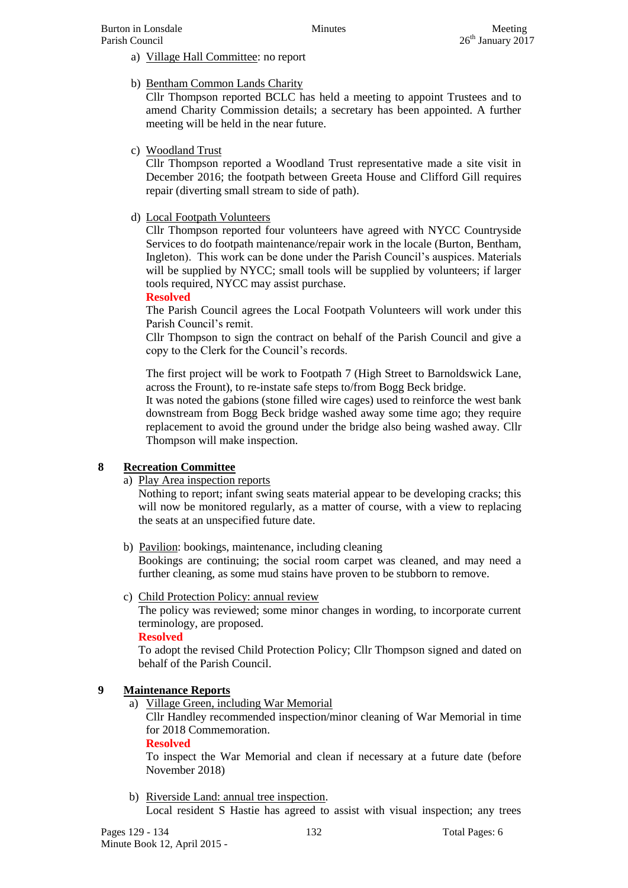- a) Village Hall Committee: no report
- b) Bentham Common Lands Charity

Cllr Thompson reported BCLC has held a meeting to appoint Trustees and to amend Charity Commission details; a secretary has been appointed. A further meeting will be held in the near future.

c) Woodland Trust

Cllr Thompson reported a Woodland Trust representative made a site visit in December 2016; the footpath between Greeta House and Clifford Gill requires repair (diverting small stream to side of path).

d) Local Footpath Volunteers

Cllr Thompson reported four volunteers have agreed with NYCC Countryside Services to do footpath maintenance/repair work in the locale (Burton, Bentham, Ingleton). This work can be done under the Parish Council's auspices. Materials will be supplied by NYCC; small tools will be supplied by volunteers; if larger tools required, NYCC may assist purchase.

#### **Resolved**

The Parish Council agrees the Local Footpath Volunteers will work under this Parish Council's remit.

Cllr Thompson to sign the contract on behalf of the Parish Council and give a copy to the Clerk for the Council's records.

The first project will be work to Footpath 7 (High Street to Barnoldswick Lane, across the Frount), to re-instate safe steps to/from Bogg Beck bridge.

It was noted the gabions (stone filled wire cages) used to reinforce the west bank downstream from Bogg Beck bridge washed away some time ago; they require replacement to avoid the ground under the bridge also being washed away. Cllr Thompson will make inspection.

## **8 Recreation Committee**

#### a) Play Area inspection reports

Nothing to report; infant swing seats material appear to be developing cracks; this will now be monitored regularly, as a matter of course, with a view to replacing the seats at an unspecified future date.

b) Pavilion: bookings, maintenance, including cleaning

Bookings are continuing; the social room carpet was cleaned, and may need a further cleaning, as some mud stains have proven to be stubborn to remove.

c) Child Protection Policy: annual review

The policy was reviewed; some minor changes in wording, to incorporate current terminology, are proposed.

#### **Resolved**

To adopt the revised Child Protection Policy; Cllr Thompson signed and dated on behalf of the Parish Council.

## **9 Maintenance Reports**

a) Village Green, including War Memorial

Cllr Handley recommended inspection/minor cleaning of War Memorial in time for 2018 Commemoration.

#### **Resolved**

To inspect the War Memorial and clean if necessary at a future date (before November 2018)

b) Riverside Land: annual tree inspection. Local resident S Hastie has agreed to assist with visual inspection; any trees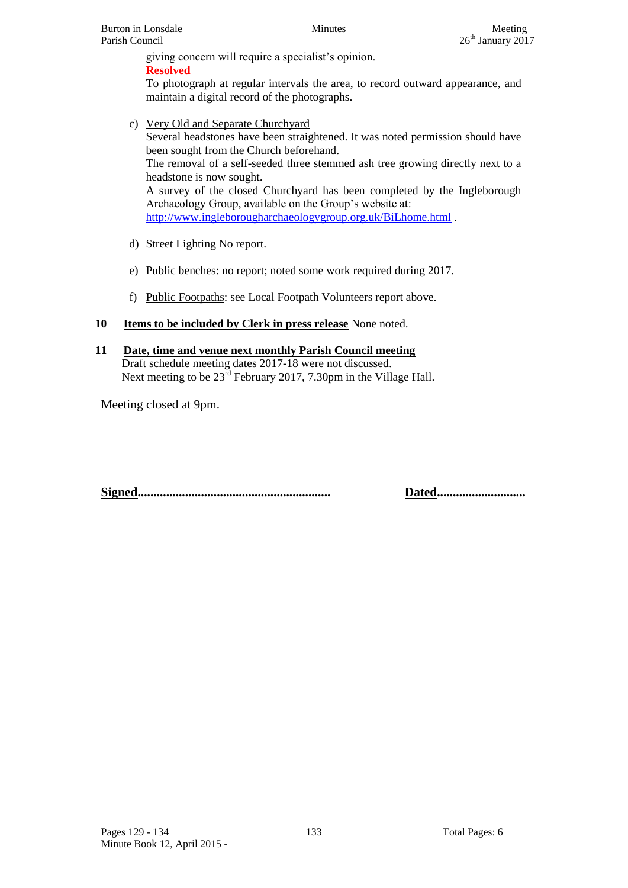giving concern will require a specialist's opinion. **Resolved**

To photograph at regular intervals the area, to record outward appearance, and maintain a digital record of the photographs.

- c) Very Old and Separate Churchyard Several headstones have been straightened. It was noted permission should have been sought from the Church beforehand. The removal of a self-seeded three stemmed ash tree growing directly next to a headstone is now sought. A survey of the closed Churchyard has been completed by the Ingleborough Archaeology Group, available on the Group's website at: <http://www.ingleborougharchaeologygroup.org.uk/BiLhome.html> .
- d) Street Lighting No report.
- e) Public benches: no report; noted some work required during 2017.
- f) Public Footpaths: see Local Footpath Volunteers report above.
- **10 Items to be included by Clerk in press release** None noted.
- **11 Date, time and venue next monthly Parish Council meeting** Draft schedule meeting dates 2017-18 were not discussed. Next meeting to be  $23^{\text{rd}}$  February 2017, 7.30pm in the Village Hall.

Meeting closed at 9pm.

**Signed............................................................. Dated............................**